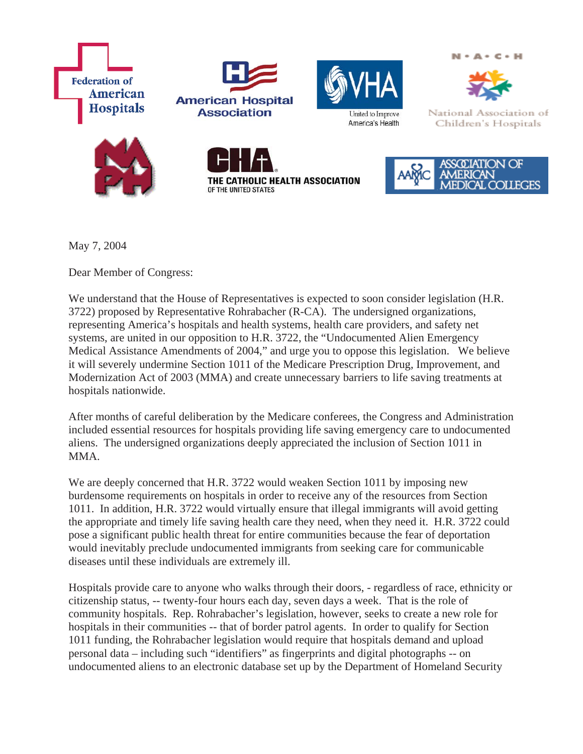





 $N - A - C - H$ 



National Association of

Children's Hospitals







May 7, 2004

Dear Member of Congress:

We understand that the House of Representatives is expected to soon consider legislation (H.R. 3722) proposed by Representative Rohrabacher (R-CA). The undersigned organizations, representing America's hospitals and health systems, health care providers, and safety net systems, are united in our opposition to H.R. 3722, the "Undocumented Alien Emergency Medical Assistance Amendments of 2004," and urge you to oppose this legislation. We believe it will severely undermine Section 1011 of the Medicare Prescription Drug, Improvement, and Modernization Act of 2003 (MMA) and create unnecessary barriers to life saving treatments at hospitals nationwide.

After months of careful deliberation by the Medicare conferees, the Congress and Administration included essential resources for hospitals providing life saving emergency care to undocumented aliens. The undersigned organizations deeply appreciated the inclusion of Section 1011 in MMA.

We are deeply concerned that H.R. 3722 would weaken Section 1011 by imposing new burdensome requirements on hospitals in order to receive any of the resources from Section 1011. In addition, H.R. 3722 would virtually ensure that illegal immigrants will avoid getting the appropriate and timely life saving health care they need, when they need it. H.R. 3722 could pose a significant public health threat for entire communities because the fear of deportation would inevitably preclude undocumented immigrants from seeking care for communicable diseases until these individuals are extremely ill.

Hospitals provide care to anyone who walks through their doors, - regardless of race, ethnicity or citizenship status, -- twenty-four hours each day, seven days a week. That is the role of community hospitals. Rep. Rohrabacher's legislation, however, seeks to create a new role for hospitals in their communities -- that of border patrol agents. In order to qualify for Section 1011 funding, the Rohrabacher legislation would require that hospitals demand and upload personal data – including such "identifiers" as fingerprints and digital photographs -- on undocumented aliens to an electronic database set up by the Department of Homeland Security